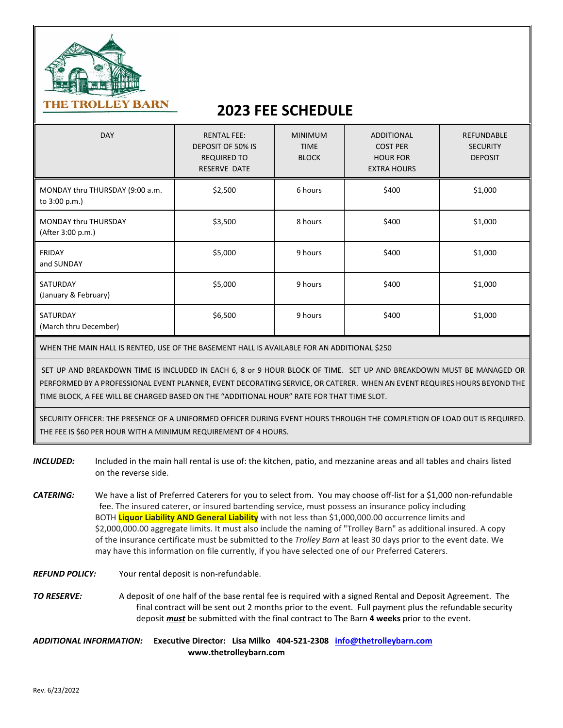

## **2023 FEE SCHEDULE**

| <b>DAY</b>                                       | <b>RENTAL FEE:</b><br>DEPOSIT OF 50% IS<br><b>REQUIRED TO</b><br><b>RESERVE DATE</b> | <b>MINIMUM</b><br><b>TIME</b><br><b>BLOCK</b> | <b>ADDITIONAL</b><br><b>COST PER</b><br><b>HOUR FOR</b><br><b>EXTRA HOURS</b> | <b>REFUNDABLE</b><br><b>SECURITY</b><br><b>DEPOSIT</b> |
|--------------------------------------------------|--------------------------------------------------------------------------------------|-----------------------------------------------|-------------------------------------------------------------------------------|--------------------------------------------------------|
| MONDAY thru THURSDAY (9:00 a.m.<br>to 3:00 p.m.) | \$2,500                                                                              | 6 hours                                       | \$400                                                                         | \$1,000                                                |
| MONDAY thru THURSDAY<br>(After 3:00 p.m.)        | \$3,500                                                                              | 8 hours                                       | \$400                                                                         | \$1,000                                                |
| <b>FRIDAY</b><br>and SUNDAY                      | \$5,000                                                                              | 9 hours                                       | \$400                                                                         | \$1,000                                                |
| SATURDAY<br>(January & February)                 | \$5,000                                                                              | 9 hours                                       | \$400                                                                         | \$1,000                                                |
| SATURDAY<br>(March thru December)                | \$6,500                                                                              | 9 hours                                       | \$400                                                                         | \$1,000                                                |

WHEN THE MAIN HALL IS RENTED, USE OF THE BASEMENT HALL IS AVAILABLE FOR AN ADDITIONAL \$250

SET UP AND BREAKDOWN TIME IS INCLUDED IN EACH 6, 8 or 9 HOUR BLOCK OF TIME. SET UP AND BREAKDOWN MUST BE MANAGED OR PERFORMED BY A PROFESSIONAL EVENT PLANNER, EVENT DECORATING SERVICE, OR CATERER. WHEN AN EVENT REQUIRES HOURS BEYOND THE TIME BLOCK, A FEE WILL BE CHARGED BASED ON THE "ADDITIONAL HOUR" RATE FOR THAT TIME SLOT.

SECURITY OFFICER: THE PRESENCE OF A UNIFORMED OFFICER DURING EVENT HOURS THROUGH THE COMPLETION OF LOAD OUT IS REQUIRED. THE FEE IS \$60 PER HOUR WITH A MINIMUM REQUIREMENT OF 4 HOURS.

- *INCLUDED:* Included in the main hall rental is use of: the kitchen, patio, and mezzanine areas and all tables and chairs listed on the reverse side.
- *CATERING:* We have a list of Preferred Caterers for you to select from. You may choose off-list for a \$1,000 non-refundable fee. The insured caterer, or insured bartending service, must possess an insurance policy including BOTH **Liquor Liability AND General Liability** with not less than \$1,000,000.00 occurrence limits and \$2,000,000.00 aggregate limits. It must also include the naming of "Trolley Barn" as additional insured. A copy of the insurance certificate must be submitted to the *Trolley Barn* at least 30 days prior to the event date. We may have this information on file currently, if you have selected one of our Preferred Caterers.
- *REFUND POLICY:* Your rental deposit is non-refundable.
- *TO RESERVE:* A deposit of one half of the base rental fee is required with a signed Rental and Deposit Agreement. The final contract will be sent out 2 months prior to the event. Full payment plus the refundable security deposit *must* be submitted with the final contract to The Barn **4 weeks** prior to the event.

*ADDITIONAL INFORMATION:* **Executive Director: Lisa Milko 404-521-2308 [info@thetrolleybarn.com](mailto:info@thetrolleybarn.com) www.thetrolleybarn.com**